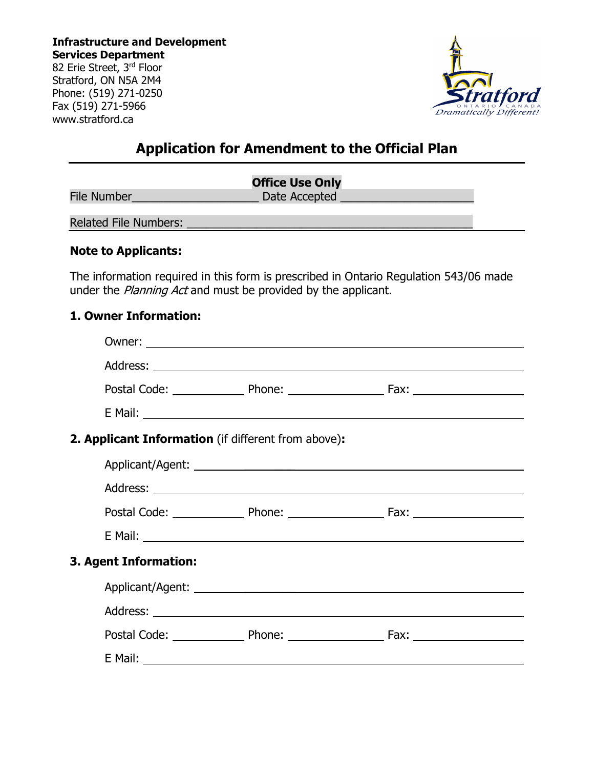**Infrastructure and Development Services Department** 82 Erie Street, 3rd Floor Stratford, ON N5A 2M4 Phone: (519) 271-0250 Fax (519) 271-5966 www.stratford.ca



# **Application for Amendment to the Official Plan**

| <b>Office Use Only</b>       |               |  |  |  |
|------------------------------|---------------|--|--|--|
| <b>File Number</b>           | Date Accepted |  |  |  |
| <b>Related File Numbers:</b> |               |  |  |  |

#### **Note to Applicants:**

The information required in this form is prescribed in Ontario Regulation 543/06 made under the *Planning Act* and must be provided by the applicant.

#### **1. Owner Information:**

| 2. Applicant Information (if different from above): |  |  |  |  |  |
|-----------------------------------------------------|--|--|--|--|--|
|                                                     |  |  |  |  |  |
|                                                     |  |  |  |  |  |
|                                                     |  |  |  |  |  |
|                                                     |  |  |  |  |  |
| 3. Agent Information:                               |  |  |  |  |  |
|                                                     |  |  |  |  |  |
|                                                     |  |  |  |  |  |
|                                                     |  |  |  |  |  |
|                                                     |  |  |  |  |  |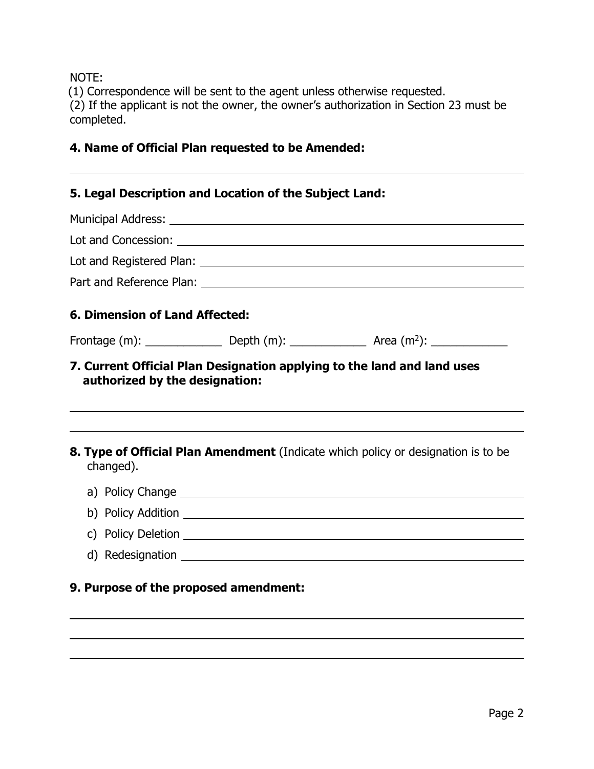NOTE:

 $\overline{a}$ 

 $\overline{a}$ 

(1) Correspondence will be sent to the agent unless otherwise requested. (2) If the applicant is not the owner, the owner's authorization in Section 23 must be completed.

# **4. Name of Official Plan requested to be Amended:**

# **5. Legal Description and Location of the Subject Land:**

| <b>6. Dimension of Land Affected:</b> |  |                                                                                          |  |  |  |  |  |
|---------------------------------------|--|------------------------------------------------------------------------------------------|--|--|--|--|--|
|                                       |  |                                                                                          |  |  |  |  |  |
| authorized by the designation:        |  | 7. Current Official Plan Designation applying to the land and land uses                  |  |  |  |  |  |
| changed).                             |  | <b>8. Type of Official Plan Amendment</b> (Indicate which policy or designation is to be |  |  |  |  |  |
|                                       |  |                                                                                          |  |  |  |  |  |
|                                       |  |                                                                                          |  |  |  |  |  |
|                                       |  |                                                                                          |  |  |  |  |  |

d) Redesignation

# **9. Purpose of the proposed amendment:**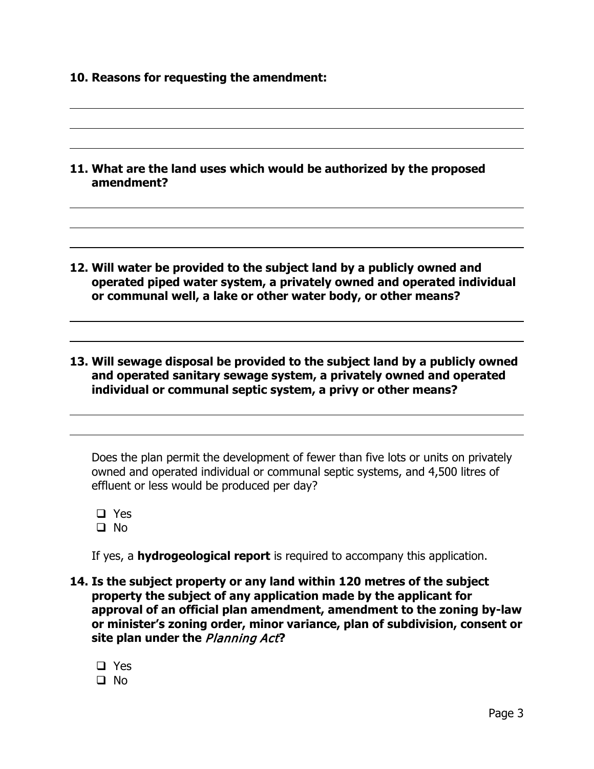- **10. Reasons for requesting the amendment:**
- **11. What are the land uses which would be authorized by the proposed amendment?**
- **12. Will water be provided to the subject land by a publicly owned and operated piped water system, a privately owned and operated individual or communal well, a lake or other water body, or other means?**
- **13. Will sewage disposal be provided to the subject land by a publicly owned and operated sanitary sewage system, a privately owned and operated individual or communal septic system, a privy or other means?**

Does the plan permit the development of fewer than five lots or units on privately owned and operated individual or communal septic systems, and 4,500 litres of effluent or less would be produced per day?

□ Yes No

 $\overline{a}$ 

 $\overline{a}$ 

 $\overline{a}$ 

 $\overline{a}$ 

If yes, a **hydrogeological report** is required to accompany this application.

- **14. Is the subject property or any land within 120 metres of the subject property the subject of any application made by the applicant for approval of an official plan amendment, amendment to the zoning by-law or minister's zoning order, minor variance, plan of subdivision, consent or site plan under the** Planning Act**?** 
	- □ Yes  $\Box$  No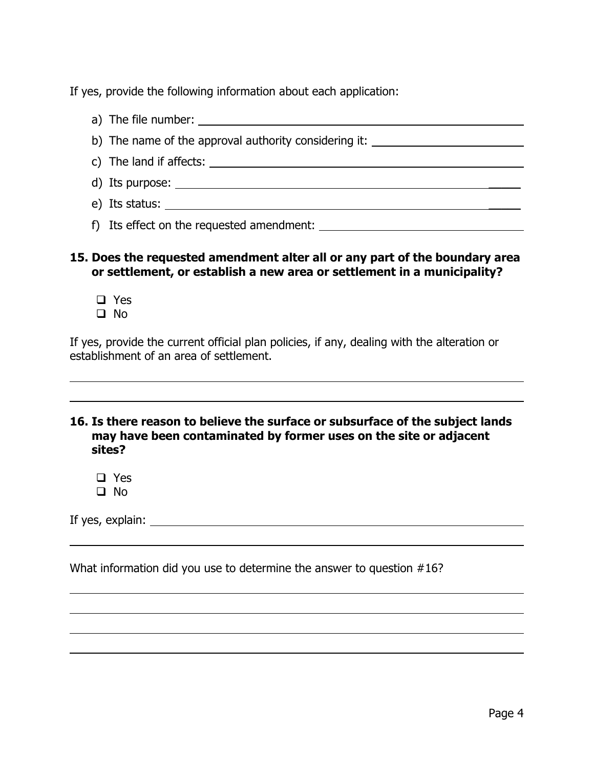If yes, provide the following information about each application:

a) The file number: b) The name of the approval authority considering it: c) The land if affects: d) Its purpose:  $\blacksquare$ e) Its status: \_\_\_\_\_ f) Its effect on the requested amendment:

# **15. Does the requested amendment alter all or any part of the boundary area or settlement, or establish a new area or settlement in a municipality?**

- □ Yes
- No

 $\overline{a}$ 

 $\overline{a}$ 

If yes, provide the current official plan policies, if any, dealing with the alteration or establishment of an area of settlement.

#### **16. Is there reason to believe the surface or subsurface of the subject lands may have been contaminated by former uses on the site or adjacent sites?**

□ Yes  $\Box$  No

If yes, explain:

What information did you use to determine the answer to question #16?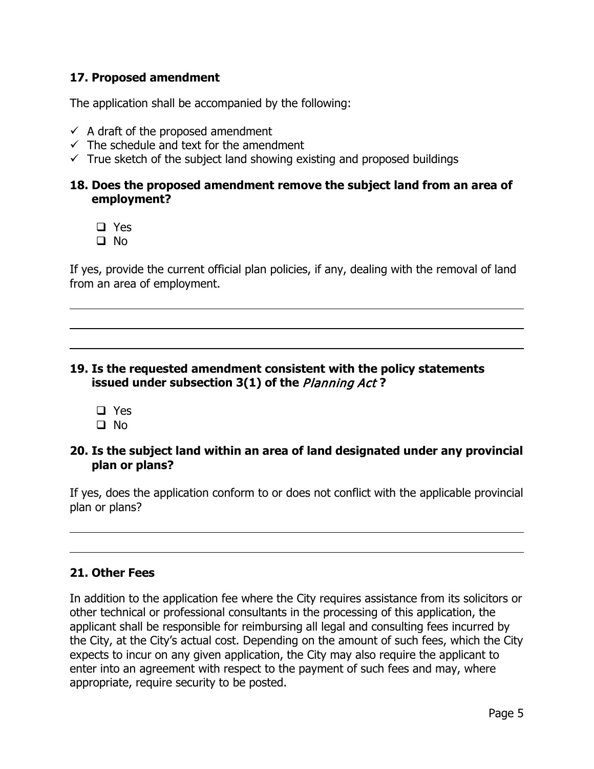### **17. Proposed amendment**

The application shall be accompanied by the following:

- $\checkmark$  A draft of the proposed amendment
- $\checkmark$  The schedule and text for the amendment
- $\checkmark$  True sketch of the subject land showing existing and proposed buildings

#### **18. Does the proposed amendment remove the subject land from an area of employment?**

- □ Yes
- $\square$  No

l

l

If yes, provide the current official plan policies, if any, dealing with the removal of land from an area of employment.

# **19. Is the requested amendment consistent with the policy statements issued under subsection 3(1) of the** Planning Act **?**

□ Yes  $\Box$  No

#### **20. Is the subject land within an area of land designated under any provincial plan or plans?**

If yes, does the application conform to or does not conflict with the applicable provincial plan or plans?

# **21. Other Fees**

In addition to the application fee where the City requires assistance from its solicitors or other technical or professional consultants in the processing of this application, the applicant shall be responsible for reimbursing all legal and consulting fees incurred by the City, at the City's actual cost. Depending on the amount of such fees, which the City expects to incur on any given application, the City may also require the applicant to enter into an agreement with respect to the payment of such fees and may, where appropriate, require security to be posted.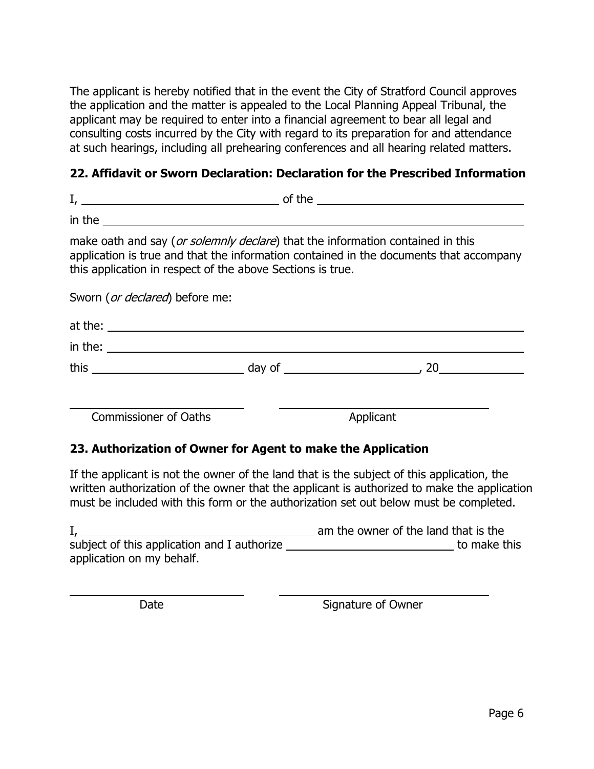The applicant is hereby notified that in the event the City of Stratford Council approves the application and the matter is appealed to the Local Planning Appeal Tribunal, the applicant may be required to enter into a financial agreement to bear all legal and consulting costs incurred by the City with regard to its preparation for and attendance at such hearings, including all prehearing conferences and all hearing related matters.

# **22. Affidavit or Sworn Declaration: Declaration for the Prescribed Information**

| in the $\overline{\phantom{a}}$                                                                                                                                                                                                        |           |  |
|----------------------------------------------------------------------------------------------------------------------------------------------------------------------------------------------------------------------------------------|-----------|--|
| make oath and say (or solemnly declare) that the information contained in this<br>application is true and that the information contained in the documents that accompany<br>this application in respect of the above Sections is true. |           |  |
| Sworn ( <i>or declared</i> ) before me:                                                                                                                                                                                                |           |  |
| at the: $\overline{\phantom{a}}$                                                                                                                                                                                                       |           |  |
| in the: $\sqrt{2\pi i}$                                                                                                                                                                                                                |           |  |
|                                                                                                                                                                                                                                        |           |  |
| <b>Commissioner of Oaths</b>                                                                                                                                                                                                           | Applicant |  |

# **23. Authorization of Owner for Agent to make the Application**

If the applicant is not the owner of the land that is the subject of this application, the written authorization of the owner that the applicant is authorized to make the application must be included with this form or the authorization set out below must be completed.

|                                             | am the owner of the land that is the |
|---------------------------------------------|--------------------------------------|
| subject of this application and I authorize | to make this                         |
| application on my behalf.                   |                                      |

 $\overline{a}$ 

Date Signature of Owner